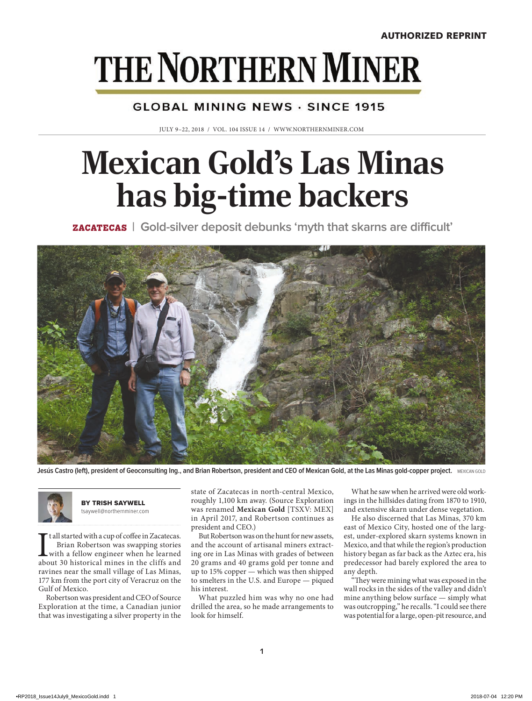# **THE NORTHERN MINER**

#### **GLOBAL MINING NEWS · SINCE 1915**

JULY 9–22, 2018 / VOL. 104 ISSUE 14 / WWW.NORTHERNMINER.COM

## **Mexican Gold's Las Minas has big-time backers**

ZACATECAS **| Gold-silver deposit debunks 'myth that skarns are difficult'**



Jesús Castro (left), president of Geoconsulting Ing., and Brian Robertson, president and CEO of Mexican Gold, at the Las Minas gold-copper project. MEXICAN GOLD



BY TRISH SAYWELL tsaywell@northernminer.com

It all started with a cup of coffee in Zacatecas.<br>Brian Robertson was swapping stories<br>with a fellow engineer when he learned<br>about 30 historical mines in the cliffs and t all started with a cup of coffee in Zacatecas. Brian Robertson was swapping stories with a fellow engineer when he learned ravines near the small village of Las Minas, 177 km from the port city of Veracruz on the Gulf of Mexico.

Robertson was president and CEO of Source Exploration at the time, a Canadian junior that was investigating a silver property in the state of Zacatecas in north-central Mexico, roughly 1,100 km away. (Source Exploration was renamed **Mexican Gold** [TSXV: MEX] in April 2017, and Robertson continues as president and CEO.)

But Robertson was on the hunt for new assets, and the account of artisanal miners extracting ore in Las Minas with grades of between 20 grams and 40 grams gold per tonne and up to 15% copper — which was then shipped to smelters in the U.S. and Europe — piqued his interest.

What puzzled him was why no one had drilled the area, so he made arrangements to look for himself.

What he saw when he arrived were old workings in the hillsides dating from 1870 to 1910, and extensive skarn under dense vegetation.

He also discerned that Las Minas, 370 km east of Mexico City, hosted one of the largest, under-explored skarn systems known in Mexico, and that while the region's production history began as far back as the Aztec era, his predecessor had barely explored the area to any depth.

"They were mining what was exposed in the wall rocks in the sides of the valley and didn't mine anything below surface — simply what was outcropping," he recalls. "I could see there was potential for a large, open-pit resource, and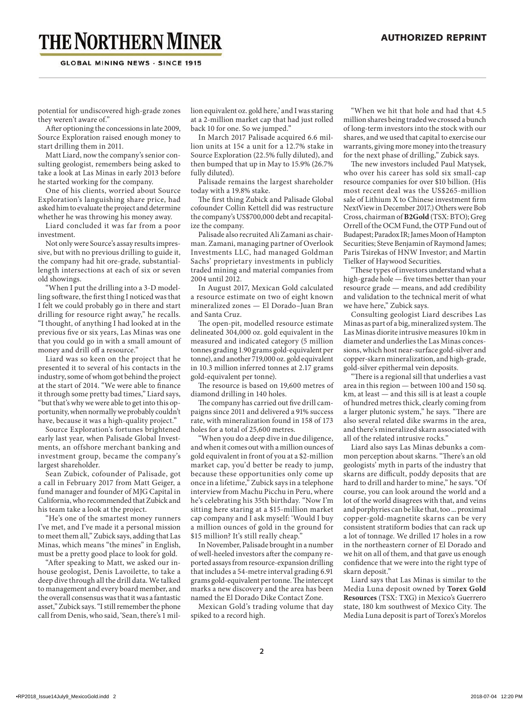## **THE NORTHERN MINER**

**GLOBAL MINING NEWS - SINCE 1915** 

potential for undiscovered high-grade zones they weren't aware of."

After optioning the concessions in late 2009, Source Exploration raised enough money to start drilling them in 2011.

Matt Liard, now the company's senior consulting geologist, remembers being asked to take a look at Las Minas in early 2013 before he started working for the company.

One of his clients, worried about Source Exploration's languishing share price, had asked him to evaluate the project and determine whether he was throwing his money away.

Liard concluded it was far from a poor investment.

Not only were Source's assay results impressive, but with no previous drilling to guide it, the company had hit ore-grade, substantiallength intersections at each of six or seven old showings.

"When I put the drilling into a 3-D modelling software, the first thing I noticed was that I felt we could probably go in there and start drilling for resource right away," he recalls. "I thought, of anything I had looked at in the previous five or six years, Las Minas was one that you could go in with a small amount of money and drill off a resource."

Liard was so keen on the project that he presented it to several of his contacts in the industry, some of whom got behind the project at the start of 2014. "We were able to finance it through some pretty bad times," Liard says, "but that's why we were able to get into this opportunity, when normally we probably couldn't have, because it was a high-quality project."

Source Exploration's fortunes brightened early last year, when Palisade Global Investments, an offshore merchant banking and investment group, became the company's largest shareholder.

Sean Zubick, cofounder of Palisade, got a call in February 2017 from Matt Geiger, a fund manager and founder of MJG Capital in California, who recommended that Zubick and his team take a look at the project.

"He's one of the smartest money runners I've met, and I've made it a personal mission to meet them all," Zubick says, adding that Las Minas, which means "the mines" in English, must be a pretty good place to look for gold.

"After speaking to Matt, we asked our inhouse geologist, Denis Lavoilette, to take a deep dive through all the drill data. We talked to management and every board member, and the overall consensus was that it was a fantastic asset," Zubick says. "I still remember the phone call from Denis, who said, 'Sean, there's 1 million equivalent oz. gold here,' and I was staring at a 2-million market cap that had just rolled back 10 for one. So we jumped."

In March 2017 Palisade acquired 6.6 million units at 15¢ a unit for a 12.7% stake in Source Exploration (22.5% fully diluted), and then bumped that up in May to 15.9% (26.7% fully diluted).

Palisade remains the largest shareholder today with a 19.8% stake.

The first thing Zubick and Palisade Global cofounder Collin Kettell did was restructure the company's US\$700,000 debt and recapitalize the company.

Palisade also recruited Ali Zamani as chairman. Zamani, managing partner of Overlook Investments LLC, had managed Goldman Sachs' proprietary investments in publicly traded mining and material companies from 2004 until 2012.

In August 2017, Mexican Gold calculated a resource estimate on two of eight known mineralized zones — El Dorado–Juan Bran and Santa Cruz.

The open-pit, modelled resource estimate delineated 304,000 oz. gold equivalent in the measured and indicated category (5 million tonnes grading 1.90 grams gold-equivalent per tonne), and another 719,000 oz. gold equivalent in 10.3 million inferred tonnes at 2.17 grams gold-equivalent per tonne).

The resource is based on 19,600 metres of diamond drilling in 140 holes.

The company has carried out five drill campaigns since 2011 and delivered a 91% success rate, with mineralization found in 158 of 173 holes for a total of 25,600 metres.

"When you do a deep dive in due diligence, and when it comes out with a million ounces of gold equivalent in front of you at a \$2-million market cap, you'd better be ready to jump, because these opportunities only come up once in a lifetime," Zubick says in a telephone interview from Machu Picchu in Peru, where he's celebrating his 35th birthday. "Now I'm sitting here staring at a \$15-million market cap company and I ask myself: 'Would I buy a million ounces of gold in the ground for \$15 million? It's still really cheap."

In November, Palisade brought in a number of well-heeled investors after the company reported assays from resource-expansion drilling that includes a 54-metre interval grading 6.91 grams gold-equivalent per tonne. The intercept marks a new discovery and the area has been named the El Dorado Dike Contact Zone.

Mexican Gold's trading volume that day spiked to a record high.

"When we hit that hole and had that 4.5 million shares being traded we crossed a bunch of long-term investors into the stock with our shares, and we used that capital to exercise our warrants, giving more money into the treasury for the next phase of drilling," Zubick says.

The new investors included Paul Matysek, who over his career has sold six small-cap resource companies for over \$10 billion. (His most recent deal was the US\$265-million sale of Lithium X to Chinese investment firm NextView in December 2017.) Others were Bob Cross, chairman of **B2Gold** (TSX: BTO); Greg Orrell of the OCM Fund, the OTP Fund out of Budapest; Paradox IR; James Moon of Hampton Securities; Steve Benjamin of Raymond James; Paris Tsirekas of HNW Investor; and Martin Tielker of Haywood Securities.

"These types of investors understand what a high-grade hole — five times better than your resource grade — means, and add credibility and validation to the technical merit of what we have here," Zubick says.

Consulting geologist Liard describes Las Minas as part of a big, mineralized system. The Las Minas diorite intrusive measures 10 km in diameter and underlies the Las Minas concessions, which host near-surface gold-silver and copper-skarn mineralization, and high-grade, gold-silver epithermal vein deposits.

"There is a regional sill that underlies a vast area in this region — between 100 and 150 sq. km, at least — and this sill is at least a couple of hundred metres thick, clearly coming from a larger plutonic system," he says. "There are also several related dike swarms in the area, and there's mineralized skarn associated with all of the related intrusive rocks."

Liard also says Las Minas debunks a common perception about skarns. "There's an old geologists' myth in parts of the industry that skarns are difficult, poddy deposits that are hard to drill and harder to mine," he says. "Of course, you can look around the world and a lot of the world disagrees with that, and veins and porphyries can be like that, too ... proximal copper-gold-magnetite skarns can be very consistent stratiform bodies that can rack up a lot of tonnage. We drilled 17 holes in a row in the northeastern corner of El Dorado and we hit on all of them, and that gave us enough confidence that we were into the right type of skarn deposit."

Liard says that Las Minas is similar to the Media Luna deposit owned by **Torex Gold Resources** (TSX: TXG) in Mexico's Guerrero state, 180 km southwest of Mexico City. The Media Luna deposit is part of Torex's Morelos